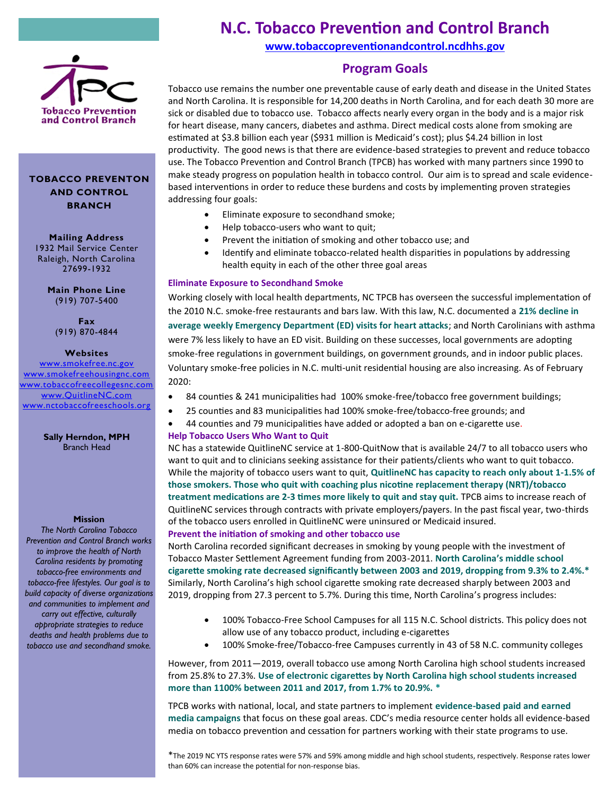

#### **TOBACCO PREVENTON AND CONTROL BRANCH**

**Mailing Address** 1932 Mail Service Center Raleigh, North Carolina

> **Main Phone Line** (919) 707-5400

27699-1932

**Fax** (919) 870-4844

#### **Websites**

[www.smokefree.nc.gov](http://tobaccopreventionandcontrol.ncdhhs.gov/smokefreenc/) [www.smokefreehousingnc.com](http://www.smokefreehousingnc.com/) [www.tobaccofreecollegesnc.com](http://www.tobaccofreecollegesnc.com/) [www.QuitlineNC.com](http://www.quitlinenc.com/) [www.nctobaccofreeschools.org](http://www.nctobaccofreeschools.org)

> **Sally Herndon, MPH** Branch Head

#### **Mission**

*The North Carolina Tobacco Prevention and Control Branch works to improve the health of North Carolina residents by promoting tobacco-free environments and tobacco-free lifestyles. Our goal is to build capacity of diverse organizations and communities to implement and carry out effective, culturally appropriate strategies to reduce deaths and health problems due to tobacco use and secondhand smoke.*

# **N.C. Tobacco Prevention and Control Branch**

**[www.tobaccopreventionandcontrol.ncdhhs.gov](http://www.tobaccopreventionandcontrol.ncdhhs.gov/)**

### **Program Goals**

Tobacco use remains the number one preventable cause of early death and disease in the United States and North Carolina. It is responsible for 14,200 deaths in North Carolina, and for each death 30 more are sick or disabled due to tobacco use. Tobacco affects nearly every organ in the body and is a major risk for heart disease, many cancers, diabetes and asthma. Direct medical costs alone from smoking are estimated at \$3.8 billion each year (\$931 million is Medicaid's cost); plus \$4.24 billion in lost productivity. The good news is that there are evidence-based strategies to prevent and reduce tobacco use. The Tobacco Prevention and Control Branch (TPCB) has worked with many partners since 1990 to make steady progress on population health in tobacco control. Our aim is to spread and scale evidencebased interventions in order to reduce these burdens and costs by implementing proven strategies addressing four goals:

- Eliminate exposure to secondhand smoke;
- Help tobacco-users who want to quit;
- Prevent the initiation of smoking and other tobacco use; and
- Identify and eliminate tobacco-related health disparities in populations by addressing health equity in each of the other three goal areas

#### **Eliminate Exposure to Secondhand Smoke**

Working closely with local health departments, NC TPCB has overseen the successful implementation of the 2010 N.C. smoke-free restaurants and bars law. With this law, N.C. documented a **21% decline in average weekly Emergency Department (ED) visits for heart attacks**; and North Carolinians with asthma were 7% less likely to have an ED visit. Building on these successes, local governments are adopting smoke-free regulations in government buildings, on government grounds, and in indoor public places. Voluntary smoke-free policies in N.C. multi-unit residential housing are also increasing. As of February 2020:

- 84 counties & 241 municipalities had 100% smoke-free/tobacco free government buildings;
- 25 counties and 83 municipalities had 100% smoke-free/tobacco-free grounds; and
- 44 counties and 79 municipalities have added or adopted a ban on e-cigarette use. **Help Tobacco Users Who Want to Quit**

NC has a statewide QuitlineNC service at 1-800-QuitNow that is available 24/7 to all tobacco users who want to quit and to clinicians seeking assistance for their patients/clients who want to quit tobacco. While the majority of tobacco users want to quit, **QuitlineNC has capacity to reach only about 1-1.5% of those smokers. Those who quit with coaching plus nicotine replacement therapy (NRT)/tobacco treatment medications are 2-3 times more likely to quit and stay quit.** TPCB aims to increase reach of QuitlineNC services through contracts with private employers/payers. In the past fiscal year, two-thirds of the tobacco users enrolled in QuitlineNC were uninsured or Medicaid insured.

#### **Prevent the initiation of smoking and other tobacco use**

North Carolina recorded significant decreases in smoking by young people with the investment of Tobacco Master Settlement Agreement funding from 2003-2011. **North Carolina's middle school cigarette smoking rate decreased significantly between 2003 and 2019, dropping from 9.3% to 2.4%.\***  Similarly, North Carolina's high school cigarette smoking rate decreased sharply between 2003 and 2019, dropping from 27.3 percent to 5.7%. During this time, North Carolina's progress includes:

- 100% Tobacco-Free School Campuses for all 115 N.C. School districts. This policy does not allow use of any tobacco product, including e-cigarettes
- 100% Smoke-free/Tobacco-free Campuses currently in 43 of 58 N.C. community colleges

However, from 2011—2019, overall tobacco use among North Carolina high school students increased from 25.8% to 27.3%. **Use of electronic cigarettes by North Carolina high school students increased more than 1100% between 2011 and 2017, from 1.7% to 20.9%. \***

TPCB works with national, local, and state partners to implement **evidence-based paid and earned media campaigns** that focus on these goal areas. CDC's media resource center holds all evidence-based media on tobacco prevention and cessation for partners working with their state programs to use.

\*The 2019 NC YTS response rates were 57% and 59% among middle and high school students, respectively. Response rates lower than 60% can increase the potential for non-response bias.